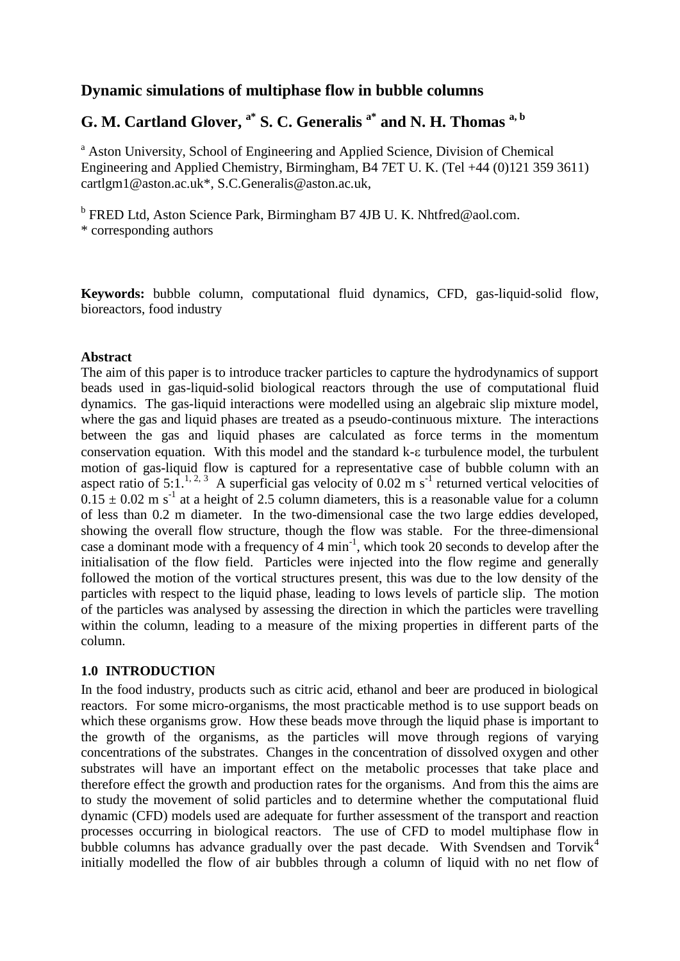### **Dynamic simulations of multiphase flow in bubble columns**

## **G. M. Cartland Glover, a\* S. C. Generalis a\* and N. H. Thomas a, b**

<sup>a</sup> Aston University, School of Engineering and Applied Science, Division of Chemical Engineering and Applied Chemistry, Birmingham, B4 7ET U. K. (Tel +44 (0)121 359 3611) cartlgm1@aston.ac.uk\*, S.C.Generalis@aston.ac.uk,

<sup>b</sup> FRED Ltd, Aston Science Park, Birmingham B7 4JB U.K. Nhtfred@aol.com. \* corresponding authors

**Keywords:** bubble column, computational fluid dynamics, CFD, gas-liquid-solid flow, bioreactors, food industry

### **Abstract**

The aim of this paper is to introduce tracker particles to capture the hydrodynamics of support beads used in gas-liquid-solid biological reactors through the use of computational fluid dynamics. The gas-liquid interactions were modelled using an algebraic slip mixture model, where the gas and liquid phases are treated as a pseudo-continuous mixture. The interactions between the gas and liquid phases are calculated as force terms in the momentum conservation equation. With this model and the standard  $k$ - $\varepsilon$  turbulence model, the turbulent motion of gas-liquid flow is captured for a representative case of bubble column with an aspect ratio of 5:1.<sup>[1,](#page-12-0) [2,](#page-12-1) [3](#page-12-2)</sup> A superficial gas velocity of 0.02 m s<sup>-1</sup> returned vertical velocities of  $0.15 \pm 0.02$  m s<sup>-1</sup> at a height of 2.5 column diameters, this is a reasonable value for a column of less than 0.2 m diameter. In the two-dimensional case the two large eddies developed, showing the overall flow structure, though the flow was stable. For the three-dimensional case a dominant mode with a frequency of  $4 \text{ min}^{-1}$ , which took 20 seconds to develop after the initialisation of the flow field. Particles were injected into the flow regime and generally followed the motion of the vortical structures present, this was due to the low density of the particles with respect to the liquid phase, leading to lows levels of particle slip. The motion of the particles was analysed by assessing the direction in which the particles were travelling within the column, leading to a measure of the mixing properties in different parts of the column.

### **1.0 INTRODUCTION**

In the food industry, products such as citric acid, ethanol and beer are produced in biological reactors. For some micro-organisms, the most practicable method is to use support beads on which these organisms grow. How these beads move through the liquid phase is important to the growth of the organisms, as the particles will move through regions of varying concentrations of the substrates. Changes in the concentration of dissolved oxygen and other substrates will have an important effect on the metabolic processes that take place and therefore effect the growth and production rates for the organisms. And from this the aims are to study the movement of solid particles and to determine whether the computational fluid dynamic (CFD) models used are adequate for further assessment of the transport and reaction processes occurring in biological reactors. The use of CFD to model multiphase flow in bubble columns has advance gradually over the past decade. With Svendsen and  $Torvik<sup>4</sup>$  $Torvik<sup>4</sup>$  $Torvik<sup>4</sup>$ initially modelled the flow of air bubbles through a column of liquid with no net flow of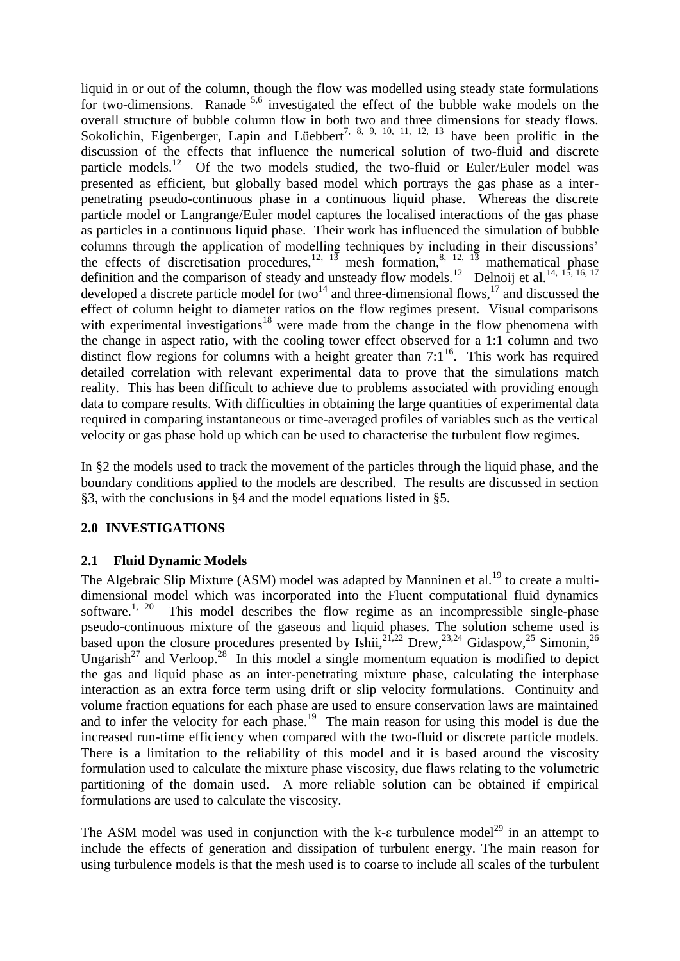liquid in or out of the column, though the flow was modelled using steady state formulations for two-dimensions. Ranade <sup>[5,](#page-12-4)[6](#page-12-5)</sup> investigated the effect of the bubble wake models on the overall structure of bubble column flow in both two and three dimensions for steady flows. Sokolichin, Eigenberger, Lapin and Lüebbert<sup>[7,](#page-12-6) [8,](#page-12-7) [9,](#page-12-8) [10,](#page-12-9) [11,](#page-12-10) [12,](#page-12-11) [13](#page-12-12)</sup> have been prolific in the discussion of the effects that influence the numerical solution of two-fluid and discrete particle models.<sup>[12](#page-12-11)</sup> Of the two models studied, the two-fluid or Euler/Euler model was presented as efficient, but globally based model which portrays the gas phase as a interpenetrating pseudo-continuous phase in a continuous liquid phase. Whereas the discrete particle model or Langrange/Euler model captures the localised interactions of the gas phase as particles in a continuous liquid phase. Their work has influenced the simulation of bubble columns through the application of modelling techniques by including in their discussions' the effects of discretisation procedures,  $12, 13$  $12, 13$  $12, 13$  mesh formation,  $8, 12, 13$  $8, 12, 13$  mathematical phase definition and the comparison of steady and unsteady flow models.<sup>[12](#page-12-11)</sup> Delnoij et al.<sup>[14,](#page-12-13) [15,](#page-12-14) [16,](#page-12-15) [17](#page-12-16)</sup> developed a discrete particle model for two<sup>[14](#page-12-13)</sup> and three-dimensional flows,<sup>[17](#page-12-16)</sup> and discussed the effect of column height to diameter ratios on the flow regimes present. Visual comparisons with experimental investigations<sup>[18](#page-12-17)</sup> were made from the change in the flow phenomena with the change in aspect ratio, with the cooling tower effect observed for a 1:1 column and two distinct flow regions for columns with a height greater than  $7:1^{16}$  $7:1^{16}$  $7:1^{16}$ . This work has required detailed correlation with relevant experimental data to prove that the simulations match reality. This has been difficult to achieve due to problems associated with providing enough data to compare results. With difficulties in obtaining the large quantities of experimental data required in comparing instantaneous or time-averaged profiles of variables such as the vertical velocity or gas phase hold up which can be used to characterise the turbulent flow regimes.

In §2 the models used to track the movement of the particles through the liquid phase, and the boundary conditions applied to the models are described. The results are discussed in section §3, with the conclusions in §4 and the model equations listed in §5.

### **2.0 INVESTIGATIONS**

### **2.1 Fluid Dynamic Models**

The Algebraic Slip Mixture (ASM) model was adapted by Manninen et al.<sup>[19](#page-12-18)</sup> to create a multidimensional model which was incorporated into the Fluent computational fluid dynamics software. $1, 20$  $1, 20$  $1, 20$  This model describes the flow regime as an incompressible single-phase pseudo-continuous mixture of the gaseous and liquid phases. The solution scheme used is based upon the closure procedures presented by Ishii,<sup>[21](#page-12-20)[,22](#page-12-21)</sup> Drew,<sup>[23](#page-12-22)[,24](#page-12-23)</sup> Gidaspow,<sup>[25](#page-12-24)</sup> Simonin,<sup>[26](#page-12-25)</sup> Ungarish<sup>[27](#page-12-26)</sup> and Verloop.<sup>[28](#page-12-27)</sup> In this model a single momentum equation is modified to depict the gas and liquid phase as an inter-penetrating mixture phase, calculating the interphase interaction as an extra force term using drift or slip velocity formulations. Continuity and volume fraction equations for each phase are used to ensure conservation laws are maintained and to infer the velocity for each phase.<sup>[19](#page-12-18)</sup> The main reason for using this model is due the increased run-time efficiency when compared with the two-fluid or discrete particle models. There is a limitation to the reliability of this model and it is based around the viscosity formulation used to calculate the mixture phase viscosity, due flaws relating to the volumetric partitioning of the domain used. A more reliable solution can be obtained if empirical formulations are used to calculate the viscosity.

The ASM model was used in conjunction with the k- $\epsilon$  turbulence model<sup>[29](#page-13-0)</sup> in an attempt to include the effects of generation and dissipation of turbulent energy. The main reason for using turbulence models is that the mesh used is to coarse to include all scales of the turbulent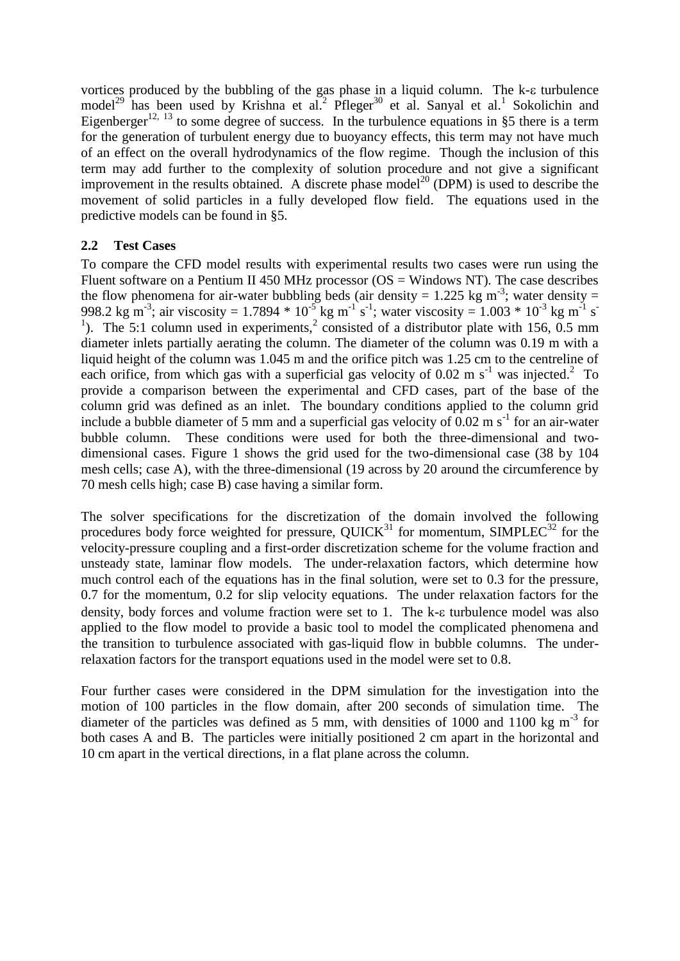vortices produced by the bubbling of the gas phase in a liquid column. The k- $\epsilon$  turbulence model<sup>[29](#page-13-0)</sup> has been used by Krishna et al[.](#page-12-1)<sup>2</sup> Pfleger<sup>[30](#page-13-1)</sup> et al. Sanyal et al.<sup>[1](#page-12-0)</sup> Sokolichin and Eigenberger<sup>[12,](#page-12-11) [13](#page-12-12)</sup> to some degree of success. In the turbulence equations in §5 there is a term for the generation of turbulent energy due to buoyancy effects, this term may not have much of an effect on the overall hydrodynamics of the flow regime. Though the inclusion of this term may add further to the complexity of solution procedure and not give a significant improvement in the results obtained. A discrete phase model<sup>[20](#page-12-19)</sup> (DPM) is used to describe the movement of solid particles in a fully developed flow field. The equations used in the predictive models can be found in §5.

### **2.2 Test Cases**

To compare the CFD model results with experimental results two cases were run using the Fluent software on a Pentium II 450 MHz processor ( $OS = Windows NT$ ). The case describes the flow phenomena for air-water bubbling beds (air density =  $1.225$  kg m<sup>-3</sup>; water density = 998.2 kg m<sup>-3</sup>; air viscosity = 1.7894  $*$  10<sup>-5</sup> kg m<sup>-1</sup> s<sup>-1</sup>; water viscosity = 1.003  $*$  10<sup>-3</sup> kg m<sup>-1</sup> s<sup>-1</sup> <sup>1</sup>). The 5:1 column used in experiments,<sup>[2](#page-12-1)</sup> consisted of a distributor plate with 156, 0.5 mm diameter inlets partially aerating the column. The diameter of the column was 0.19 m with a liquid height of the column was 1.045 m and the orifice pitch was 1.25 cm to the centreline of each orifice, from which gas with a superficial gas velocity of 0.0[2](#page-12-1) m s<sup>-1</sup> was injected.<sup>2</sup> To provide a comparison between the experimental and CFD cases, part of the base of the column grid was defined as an inlet. The boundary conditions applied to the column grid include a bubble diameter of 5 mm and a superficial gas velocity of  $0.02 \text{ m s}^{-1}$  for an air-water bubble column. These conditions were used for both the three-dimensional and twodimensional cases. Figure 1 shows the grid used for the two-dimensional case (38 by 104 mesh cells; case A), with the three-dimensional (19 across by 20 around the circumference by 70 mesh cells high; case B) case having a similar form.

The solver specifications for the discretization of the domain involved the following procedures body force weighted for pressure,  $\text{QUICK}^{31}$  $\text{QUICK}^{31}$  $\text{QUICK}^{31}$  for momentum, SIMPLEC<sup>[32](#page-13-3)</sup> for the velocity-pressure coupling and a first-order discretization scheme for the volume fraction and unsteady state, laminar flow models. The under-relaxation factors, which determine how much control each of the equations has in the final solution, were set to 0.3 for the pressure, 0.7 for the momentum, 0.2 for slip velocity equations. The under relaxation factors for the density, body forces and volume fraction were set to 1. The k- $\varepsilon$  turbulence model was also applied to the flow model to provide a basic tool to model the complicated phenomena and the transition to turbulence associated with gas-liquid flow in bubble columns. The underrelaxation factors for the transport equations used in the model were set to 0.8.

Four further cases were considered in the DPM simulation for the investigation into the motion of 100 particles in the flow domain, after 200 seconds of simulation time. The diameter of the particles was defined as 5 mm, with densities of 1000 and 1100 kg  $m^{-3}$  for both cases A and B. The particles were initially positioned 2 cm apart in the horizontal and 10 cm apart in the vertical directions, in a flat plane across the column.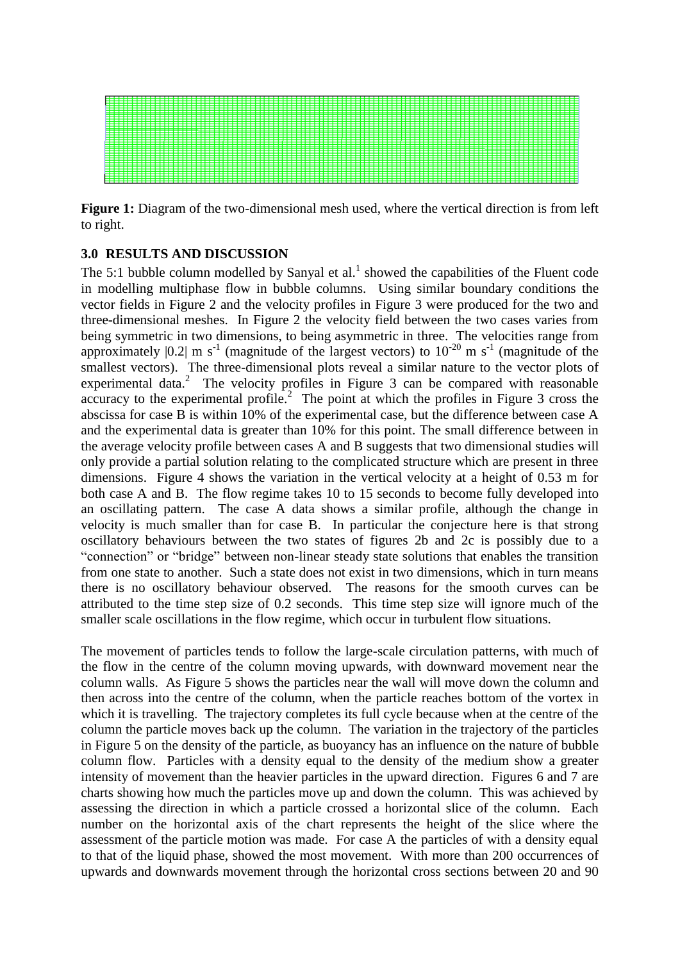

Figure 1: Diagram of the two-dimensional mesh used, where the vertical direction is from left to right.

### **3.0 RESULTS AND DISCUSSION**

The 5:1 bubble column modelled by Sanyal et al[.](#page-12-0)<sup>1</sup> showed the capabilities of the Fluent code in modelling multiphase flow in bubble columns. Using similar boundary conditions the vector fields in Figure 2 and the velocity profiles in Figure 3 were produced for the two and three-dimensional meshes. In Figure 2 the velocity field between the two cases varies from being symmetric in two dimensions, to being asymmetric in three. The velocities range from approximately  $|0.2|$  m s<sup>-1</sup> (magnitude of the largest vectors) to  $10^{-20}$  m s<sup>-1</sup> (magnitude of the smallest vectors). The three-dimensional plots reveal a similar nature to the vector plots of experimentaldata.<sup>2</sup> The velocity profiles in Figure 3 can be compared with reasonable accuracy to the experimental profile.<sup>[2](#page-12-1)</sup> The point at which the profiles in Figure 3 cross the abscissa for case B is within 10% of the experimental case, but the difference between case A and the experimental data is greater than 10% for this point. The small difference between in the average velocity profile between cases A and B suggests that two dimensional studies will only provide a partial solution relating to the complicated structure which are present in three dimensions. Figure 4 shows the variation in the vertical velocity at a height of 0.53 m for both case A and B. The flow regime takes 10 to 15 seconds to become fully developed into an oscillating pattern. The case A data shows a similar profile, although the change in velocity is much smaller than for case B. In particular the conjecture here is that strong oscillatory behaviours between the two states of figures 2b and 2c is possibly due to a "connection" or "bridge" between non-linear steady state solutions that enables the transition from one state to another. Such a state does not exist in two dimensions, which in turn means there is no oscillatory behaviour observed. The reasons for the smooth curves can be attributed to the time step size of 0.2 seconds. This time step size will ignore much of the smaller scale oscillations in the flow regime, which occur in turbulent flow situations.

The movement of particles tends to follow the large-scale circulation patterns, with much of the flow in the centre of the column moving upwards, with downward movement near the column walls. As Figure 5 shows the particles near the wall will move down the column and then across into the centre of the column, when the particle reaches bottom of the vortex in which it is travelling. The trajectory completes its full cycle because when at the centre of the column the particle moves back up the column. The variation in the trajectory of the particles in Figure 5 on the density of the particle, as buoyancy has an influence on the nature of bubble column flow. Particles with a density equal to the density of the medium show a greater intensity of movement than the heavier particles in the upward direction. Figures 6 and 7 are charts showing how much the particles move up and down the column. This was achieved by assessing the direction in which a particle crossed a horizontal slice of the column. Each number on the horizontal axis of the chart represents the height of the slice where the assessment of the particle motion was made. For case A the particles of with a density equal to that of the liquid phase, showed the most movement. With more than 200 occurrences of upwards and downwards movement through the horizontal cross sections between 20 and 90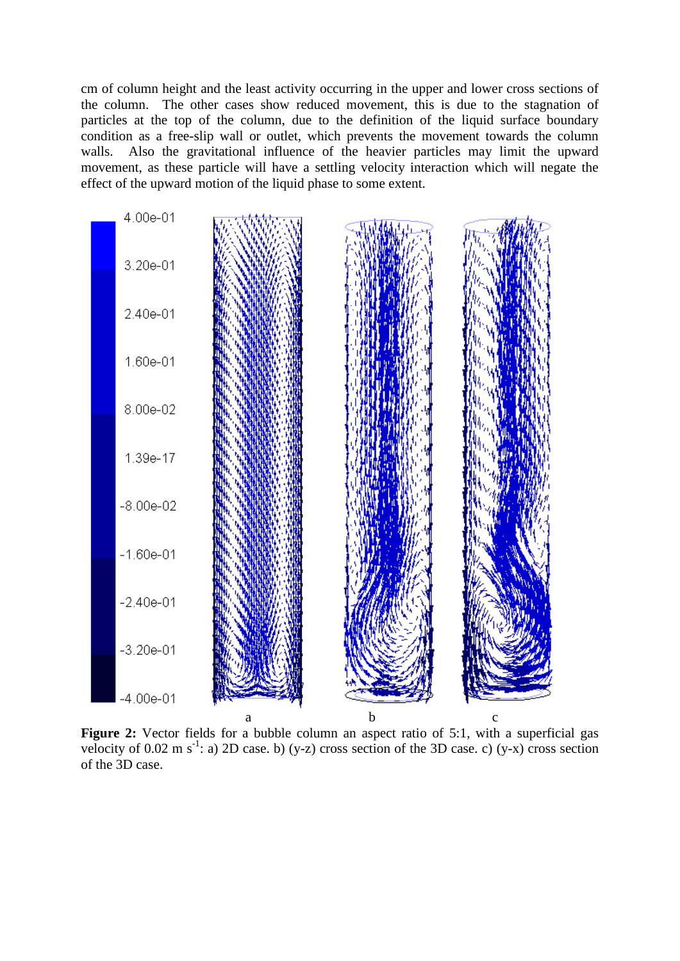cm of column height and the least activity occurring in the upper and lower cross sections of the column. The other cases show reduced movement, this is due to the stagnation of particles at the top of the column, due to the definition of the liquid surface boundary condition as a free-slip wall or outlet, which prevents the movement towards the column walls. Also the gravitational influence of the heavier particles may limit the upward movement, as these particle will have a settling velocity interaction which will negate the effect of the upward motion of the liquid phase to some extent.



Figure 2: Vector fields for a bubble column an aspect ratio of 5:1, with a superficial gas velocity of 0.02 m s<sup>-1</sup>: a) 2D case. b) (y-z) cross section of the 3D case. c) (y-x) cross section of the 3D case.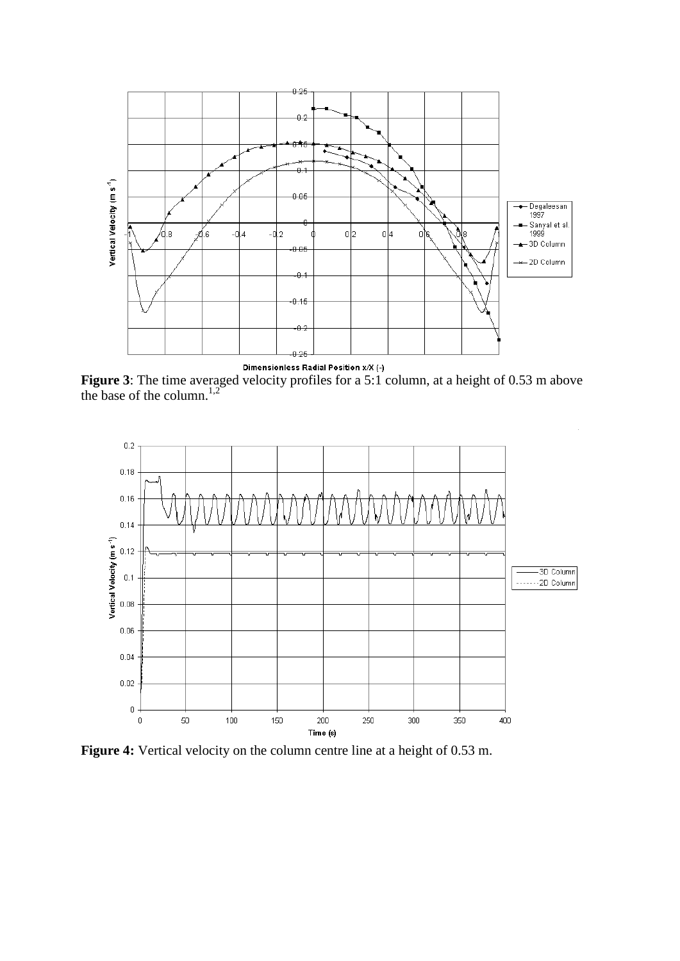

**Figure 3**: The time averaged velocity profiles for a 5:1 column, at a height of 0.53 m above the base of the column. $^{1,2}$  $^{1,2}$  $^{1,2}$  $^{1,2}$ 



**Figure 4:** Vertical velocity on the column centre line at a height of 0.53 m.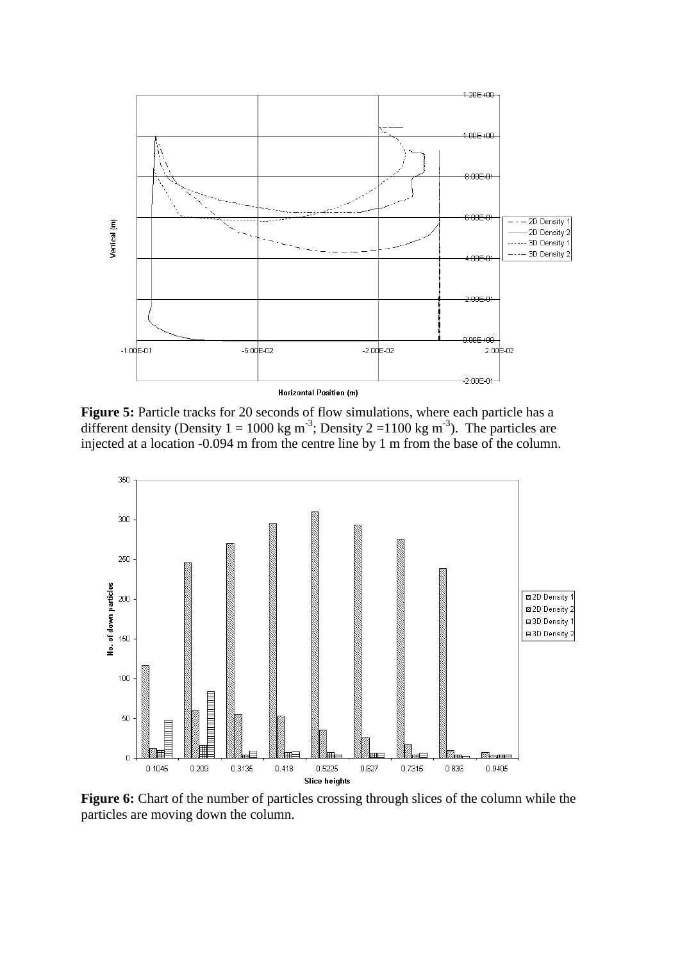

**Figure 5:** Particle tracks for 20 seconds of flow simulations, where each particle has a different density (Density  $1 = 1000 \text{ kg m}^{-3}$ ; Density  $2 = 1100 \text{ kg m}^{-3}$ ). The particles are injected at a location -0.094 m from the centre line by 1 m from the base of the column.



**Figure 6:** Chart of the number of particles crossing through slices of the column while the particles are moving down the column.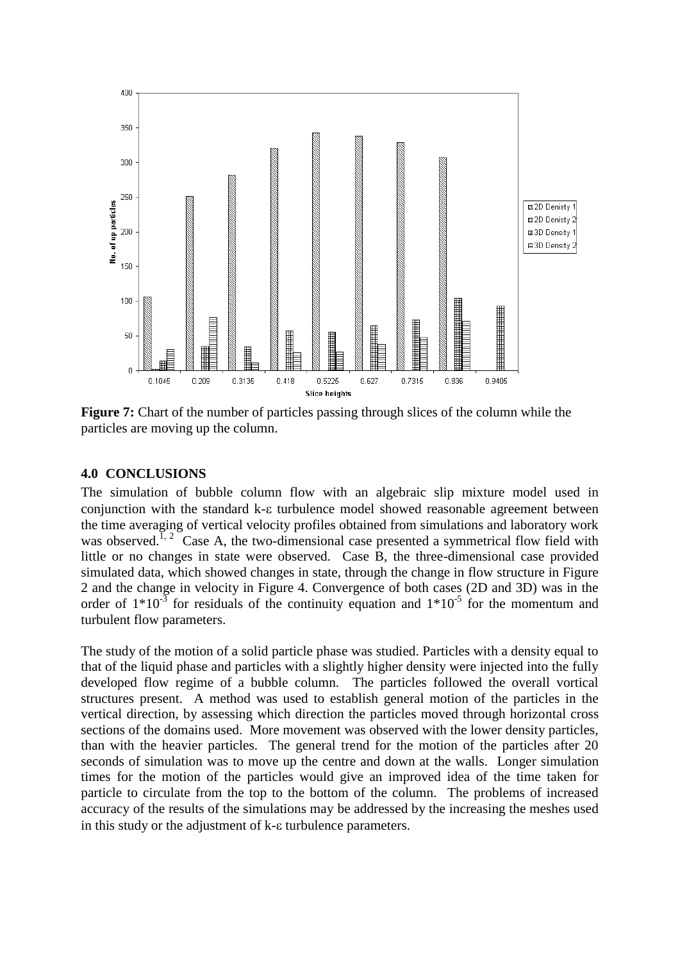

**Figure 7:** Chart of the number of particles passing through slices of the column while the particles are moving up the column.

### **4.0 CONCLUSIONS**

The simulation of bubble column flow with an algebraic slip mixture model used in conjunction with the standard k- $\varepsilon$  turbulence model showed reasonable agreement between the time averaging of vertical velocity profiles obtained from simulations and laboratory work was observed.<sup>[1,](#page-12-0) [2](#page-12-1)</sup> Case A, the two-dimensional case presented a symmetrical flow field with little or no changes in state were observed. Case B, the three-dimensional case provided simulated data, which showed changes in state, through the change in flow structure in Figure 2 and the change in velocity in Figure 4. Convergence of both cases (2D and 3D) was in the order of  $1*10^{-3}$  for residuals of the continuity equation and  $1*10^{-5}$  for the momentum and turbulent flow parameters.

The study of the motion of a solid particle phase was studied. Particles with a density equal to that of the liquid phase and particles with a slightly higher density were injected into the fully developed flow regime of a bubble column. The particles followed the overall vortical structures present. A method was used to establish general motion of the particles in the vertical direction, by assessing which direction the particles moved through horizontal cross sections of the domains used. More movement was observed with the lower density particles, than with the heavier particles. The general trend for the motion of the particles after 20 seconds of simulation was to move up the centre and down at the walls. Longer simulation times for the motion of the particles would give an improved idea of the time taken for particle to circulate from the top to the bottom of the column. The problems of increased accuracy of the results of the simulations may be addressed by the increasing the meshes used in this study or the adjustment of  $k$ - $\varepsilon$  turbulence parameters.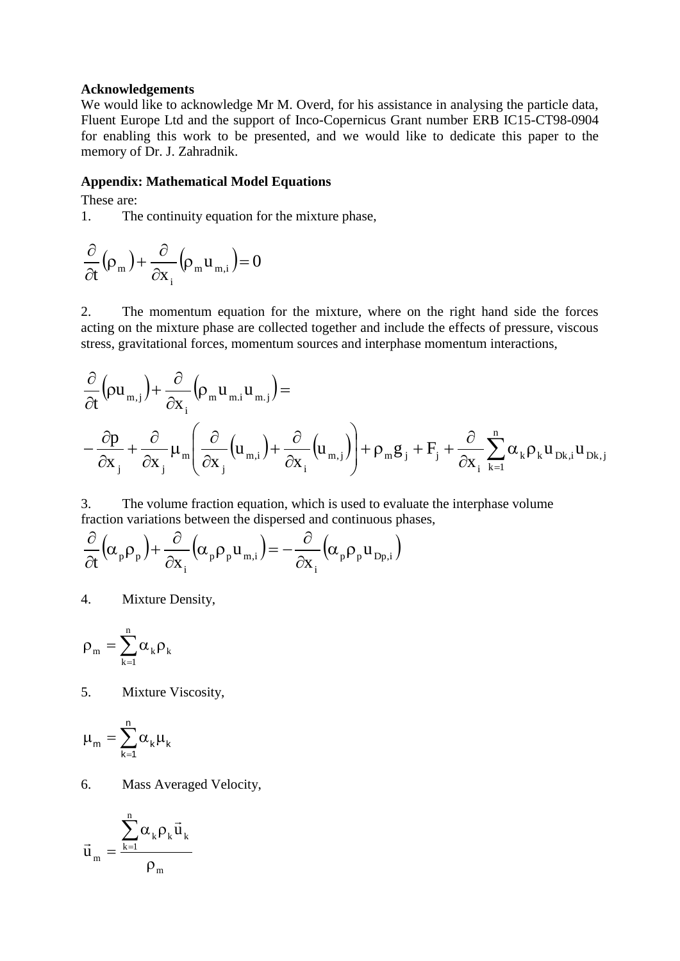#### **Acknowledgements**

We would like to acknowledge Mr M. Overd, for his assistance in analysing the particle data, Fluent Europe Ltd and the support of Inco-Copernicus Grant number ERB IC15-CT98-0904 for enabling this work to be presented, and we would like to dedicate this paper to the memory of Dr. J. Zahradnik.

### **Appendix: Mathematical Model Equations**

These are:

1. The continuity equation for the mixture phase,

$$
\frac{\partial}{\partial t}(\rho_m) + \frac{\partial}{\partial x_i}(\rho_m u_{m,i}) = 0
$$

2. The momentum equation for the mixture, where on the right hand side the forces acting on the mixture phase are collected together and include the effects of pressure, viscous stress, gravitational forces, momentum sources and interphase momentum interactions,

$$
\begin{aligned} &\frac{\partial}{\partial t}\Big(\!\rho u_{_{m,j}}\Big) \!+\! \frac{\partial}{\partial x_{_i}}\Big(\!\rho_{_m} u_{_{m,i}} u_{_{m,j}}\Big) \!= \\ &\left. -\frac{\partial p}{\partial x_{_j}}\!+\! \frac{\partial}{\partial x_{_j}}\mu_{_m}\!\!\left(\!\frac{\partial}{\partial x_{_j}}\!\left(\!u_{_{m,i}}\right)\!\right) \!\!+\! \frac{\partial}{\partial x_{_i}}\!\left(\!u_{_{m,j}}\right)\!\!\right)\!\!+\! \rho_{_m} g_{_j}\!+\! F_{_j}\!+\! \frac{\partial}{\partial x_{_i}}\sum_{_{k=1}}^n\!\alpha_{_k} \rho_{_k} u_{_{Dk,i}} u_{_{Dk,j}} \end{aligned}
$$

3. The volume fraction equation, which is used to evaluate the interphase volume fraction variations between the dispersed and continuous phases,

$$
\frac{\partial}{\partial t}\Big(\!\alpha_{_p}\rho_{_p}\Big)\!+\!\frac{\partial}{\partial x_{_i}}\Big(\!\alpha_{_p}\rho_{_p}u_{_{m,i}}\Big)\!=\!-\frac{\partial}{\partial x_{_i}}\Big(\!\alpha_{_p}\rho_{_p}u_{_{Dp,i}}\Big)
$$

4. Mixture Density,

$$
\rho_{\scriptscriptstyle m}=\sum_{\scriptscriptstyle k=1}^n\alpha_{\scriptscriptstyle k}\rho_{\scriptscriptstyle k}
$$

5. Mixture Viscosity,

$$
\mu_{\mathsf{m}}=\sum_{\mathsf{k}=\mathsf{1}}^{\mathsf{n}}\alpha_{\mathsf{k}}\mu_{\mathsf{k}}
$$

6. Mass Averaged Velocity,

$$
\vec{u}_{{\scriptscriptstyle{m}}}=\frac{\displaystyle\sum_{k=1}^n \alpha_k \rho_k \vec{u}_{{\scriptscriptstyle{k}}}}{\rho_{{\scriptscriptstyle{m}}}}
$$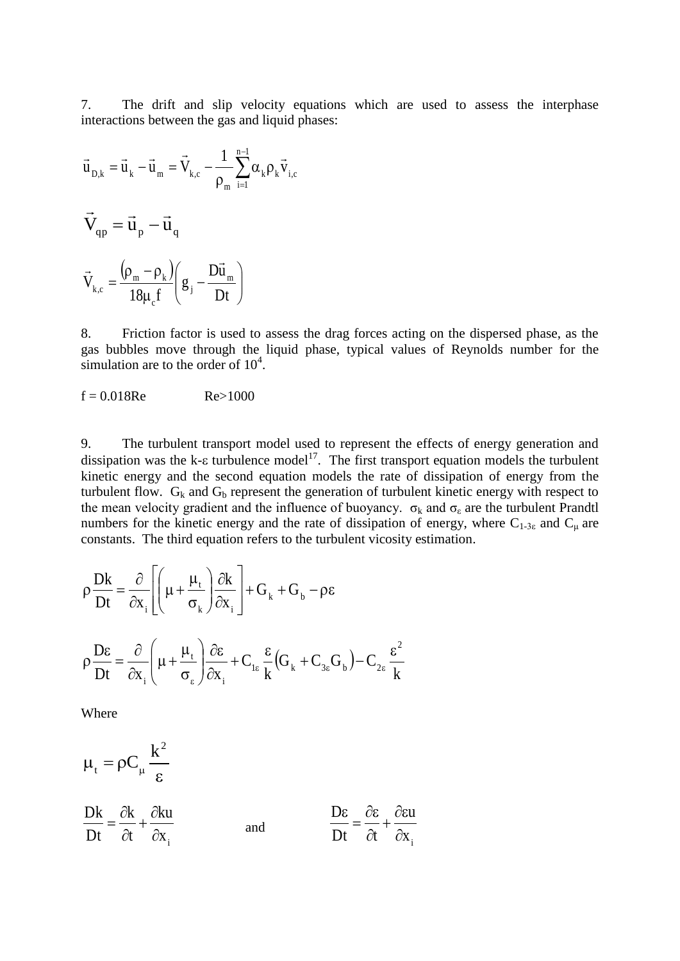7. The drift and slip velocity equations which are used to assess the interphase interactions between the gas and liquid phases:

$$
\vec{u}_{D,k} = \vec{u}_k - \vec{u}_m = \vec{V}_{k,c} - \frac{1}{\rho_m} \sum_{i=1}^{n-1} \alpha_k \rho_k \vec{v}_{i,c}
$$
\n
$$
\vec{V}_{qp} = \vec{u}_p - \vec{u}_q
$$
\n
$$
\vec{V}_{k,c} = \frac{(\rho_m - \rho_k)}{18\mu_c f} \left( g_j - \frac{D\vec{u}_m}{Dt} \right)
$$

8. Friction factor is used to assess the drag forces acting on the dispersed phase, as the gas bubbles move through the liquid phase, typical values of Reynolds number for the simulation are to the order of  $10^4$ .

$$
f = 0.018 \text{Re} \qquad \text{Re} > 1000
$$

9. The turbulent transport model used to represent the effects of energy generation and dissipation was the k- $\varepsilon$  turbulence model<sup>17</sup>. The first transport equation models the turbulent kinetic energy and the second equation models the rate of dissipation of energy from the turbulent flow.  $G_k$  and  $G_b$  represent the generation of turbulent kinetic energy with respect to the mean velocity gradient and the influence of buoyancy.  $\sigma_k$  and  $\sigma_{\epsilon}$  are the turbulent Prandtl numbers for the kinetic energy and the rate of dissipation of energy, where  $C_{1-3\varepsilon}$  and  $C_{\mu}$  are constants. The third equation refers to the turbulent vicosity estimation.

$$
\rho \frac{Dk}{Dt} = \frac{\partial}{\partial x_i} \left[ \left( \mu + \frac{\mu_t}{\sigma_k} \right) \frac{\partial k}{\partial x_i} \right] + G_k + G_b - \rho \epsilon
$$
  

$$
\rho \frac{D\epsilon}{Dt} = \frac{\partial}{\partial x_i} \left( \mu + \frac{\mu_t}{\sigma_{\epsilon}} \right) \frac{\partial \epsilon}{\partial x_i} + C_{1\epsilon} \frac{\epsilon}{k} \left( G_k + C_{3\epsilon} G_b \right) - C_{2\epsilon} \frac{\epsilon^2}{k}
$$

Where

$$
\mu_{t} = \rho C_{\mu} \frac{k^{2}}{\epsilon}
$$
\n
$$
\frac{Dk}{Dt} = \frac{\partial k}{\partial t} + \frac{\partial ku}{\partial x_{i}}
$$
\nand\n
$$
\frac{D\epsilon}{Dt} = \frac{\partial \epsilon}{\partial t} + \frac{\partial ku}{\partial x_{i}}
$$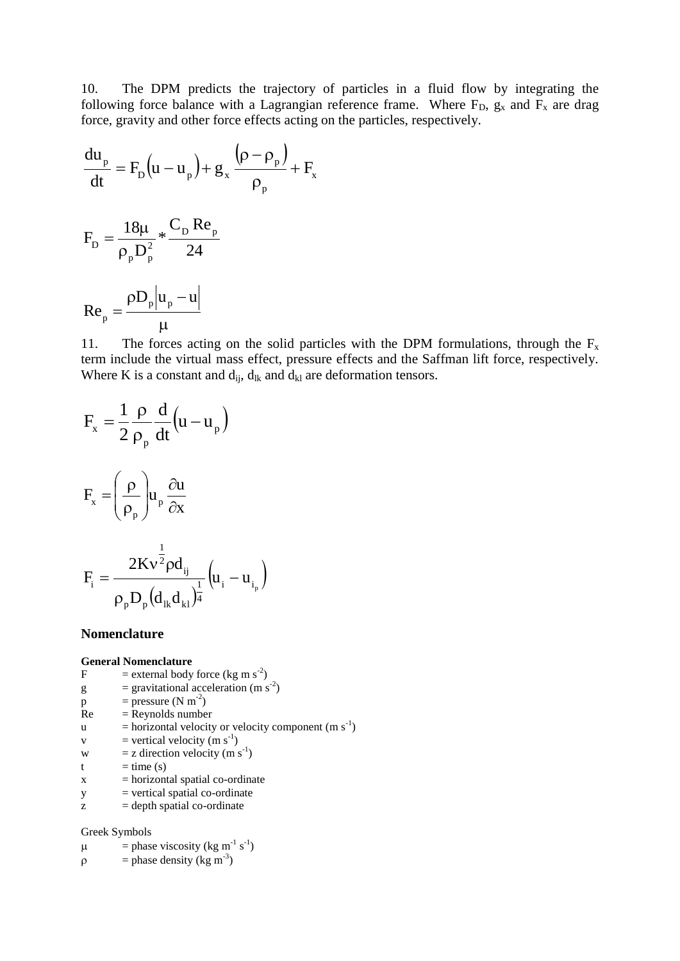10. The DPM predicts the trajectory of particles in a fluid flow by integrating the following force balance with a Lagrangian reference frame. Where  $F_D$ ,  $g_x$  and  $F_x$  are drag force, gravity and other force effects acting on the particles, respectively.

$$
\frac{du_p}{dt} = F_p(u - u_p) + g_x \frac{(\rho - \rho_p)}{\rho_p} + F_x
$$
  

$$
F_p = \frac{18\mu}{\rho_p D_p^2} * \frac{C_p Re_p}{24}
$$
  

$$
Re_p = \frac{\rho D_p |u_p - u|}{\mu}
$$

11. The forces acting on the solid particles with the DPM formulations, through the  $F_x$ term include the virtual mass effect, pressure effects and the Saffman lift force, respectively. Where K is a constant and  $d_{ij}$ ,  $d_{lk}$  and  $d_{kl}$  are deformation tensors.

$$
F_x = \frac{1}{2} \frac{\rho}{\rho_p} \frac{d}{dt} (u - u_p)
$$
  
\n
$$
F_x = \left(\frac{\rho}{\rho_p}\right) u_p \frac{\partial u}{\partial x}
$$
  
\n
$$
F_i = \frac{2Kv^{\frac{1}{2}} \rho d_{ij}}{\rho_p D_p (d_{ik} d_{kl})^{\frac{1}{4}}} (u_i - u_{i_p})
$$

#### **Nomenclature**

#### **General Nomenclature**

- F = external body force (kg m s<sup>-2</sup>)
- $g =$  gravitational acceleration (m s<sup>-2</sup>)
- $p = pressure (N m<sup>-2</sup>)$
- $Re = Repnolds number$
- $u =$  horizontal velocity or velocity component (m s<sup>-1</sup>)
- $v =$  vertical velocity (m s<sup>-1</sup>)
- w = z direction velocity (m s<sup>-1</sup>)
- $t = time(s)$
- $x = horizontal spatial co-ordinate$
- $y = vertical spatial co-ordinate$
- $z =$  depth spatial co-ordinate

#### Greek Symbols

- $\mu$  = phase viscosity (kg m<sup>-1</sup> s<sup>-1</sup>)
- $\rho$  = phase density (kg m<sup>-3</sup>)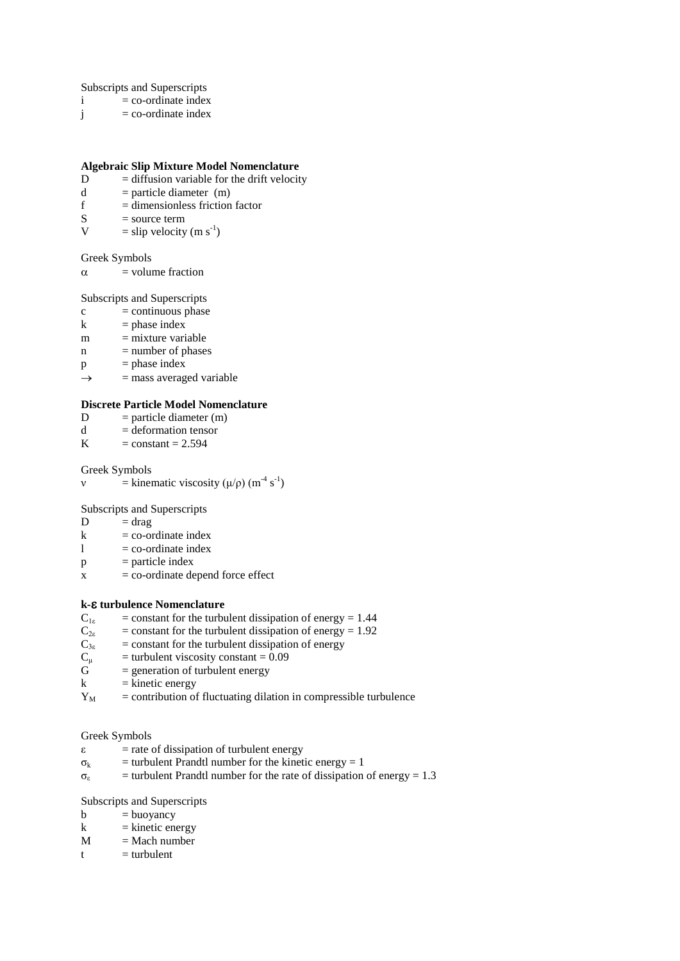Subscripts and Superscripts

- $i = \text{co-ordinate index}$
- $j = co-ordinate index$

#### **Algebraic Slip Mixture Model Nomenclature**

- D = diffusion variable for the drift velocity<br> $d$  = particle diameter (m)
- d = particle diameter (m)<br> $f =$ dimensionless friction
- $f =$  dimensionless friction factor<br>S = source term
- $S =$ source term<br> $V =$ slin velocity
- $V =$ slip velocity (m s<sup>-1</sup>)

#### Greek Symbols

 $\alpha$  = volume fraction

Subscripts and Superscripts

- $c =$  continuous phase
- $k$  = phase index
- $m =$  mixture variable
- $n = number of phases$
- $p = phase$  index
- $\rightarrow$  = mass averaged variable

# **Discrete Particle Model Nomenclature**<br>D = particle diameter (m)

- D = particle diameter (m)<br>d = deformation tensor
- d = deformation tensor<br>  $K = constant = 2.594$
- $=$  constant  $= 2.594$

#### Greek Symbols

v = kinematic viscosity ( $\mu/\rho$ ) (m<sup>-4</sup> s<sup>-1</sup>)

Subscripts and Superscripts

- $D = drag$
- $k = \text{co-ordinate index}$
- $1 = \text{co-ordinate index}$
- $p =$  particle index
- $x = \text{co-ordinate}$  depend force effect

#### **k- turbulence** Nomenclature

- $C_{1\epsilon}$  = constant for the turbulent dissipation of energy = 1.44<br> $C_{2\epsilon}$  = constant for the turbulent dissipation of energy = 1.92
- $C_{2\varepsilon}$  = constant for the turbulent dissipation of energy = 1.92<br>  $C_{3\varepsilon}$  = constant for the turbulent dissipation of energy
- $C_{3\epsilon}$  = constant for the turbulent dissipation of energy<br>  $C_{\mu}$  = turbulent viscosity constant = 0.09
- $C_{\mu}$  = turbulent viscosity constant = 0.09<br>  $G$  = generation of turbulent energy
- $=$  generation of turbulent energy
- $k =$  kinetic energy
- $Y_M$  = contribution of fluctuating dilation in compressible turbulence

#### Greek Symbols

- $\epsilon$  = rate of dissipation of turbulent energy
- $\sigma_k$  = turbulent Prandtl number for the kinetic energy = 1
- $\sigma_{\epsilon}$  = turbulent Prandtl number for the rate of dissipation of energy = 1.3

#### Subscripts and Superscripts

- $b = buoyancy$
- $k =$  kinetic energy
- $M = Mach number$
- $t =$ turbulent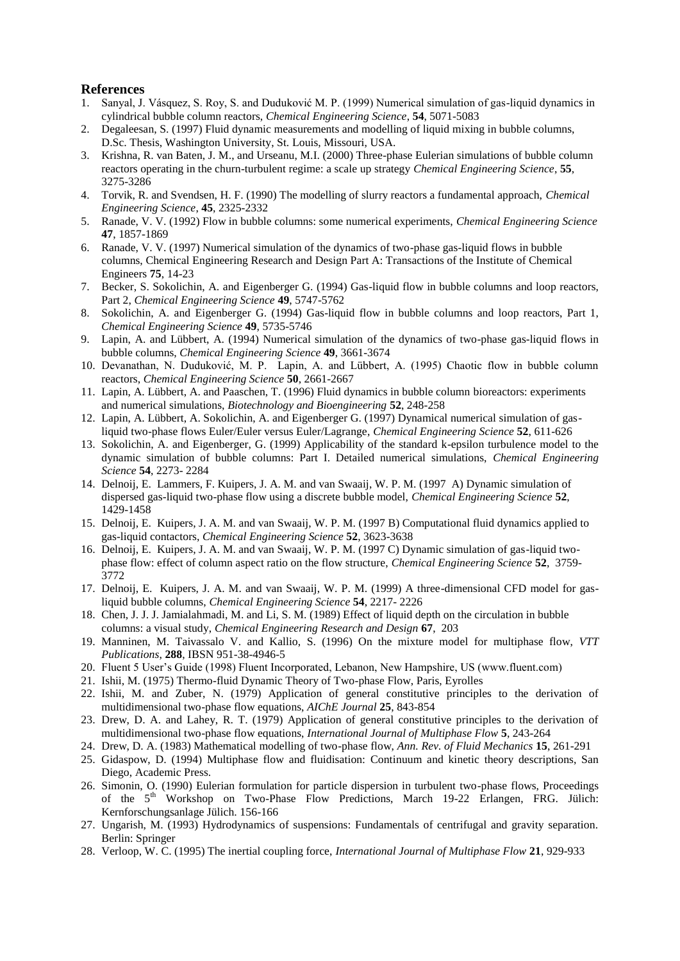### **References**

- <span id="page-12-0"></span>1. Sanyal, J. Vásquez, S. Roy, S. and Duduković M. P. (1999) Numerical simulation of gas-liquid dynamics in cylindrical bubble column reactors, *Chemical Engineering Science*, **54**, 5071-5083
- <span id="page-12-1"></span>2. Degaleesan, S. (1997) Fluid dynamic measurements and modelling of liquid mixing in bubble columns, D.Sc. Thesis, Washington University, St. Louis, Missouri, USA.
- <span id="page-12-2"></span>3. Krishna, R. van Baten, J. M., and Urseanu, M.I. (2000) Three-phase Eulerian simulations of bubble column reactors operating in the churn-turbulent regime: a scale up strategy *Chemical Engineering Science*, **55**, 3275-3286
- <span id="page-12-3"></span>4. Torvik, R. and Svendsen, H. F. (1990) The modelling of slurry reactors a fundamental approach, *Chemical Engineering Science*, **45**, 2325-2332
- <span id="page-12-4"></span>5. Ranade, V. V. (1992) Flow in bubble columns: some numerical experiments, *Chemical Engineering Science* **47**, 1857-1869
- <span id="page-12-5"></span>6. Ranade, V. V. (1997) Numerical simulation of the dynamics of two-phase gas-liquid flows in bubble columns, Chemical Engineering Research and Design Part A: Transactions of the Institute of Chemical Engineers **75**, 14-23
- <span id="page-12-6"></span>7. Becker, S. Sokolichin, A. and Eigenberger G. (1994) Gas-liquid flow in bubble columns and loop reactors, Part 2, *Chemical Engineering Science* **49**, 5747-5762
- <span id="page-12-7"></span>8. Sokolichin, A. and Eigenberger G. (1994) Gas-liquid flow in bubble columns and loop reactors, Part 1, *Chemical Engineering Science* **49**, 5735-5746
- <span id="page-12-8"></span>9. Lapin, A. and Lübbert, A. (1994) Numerical simulation of the dynamics of two-phase gas-liquid flows in bubble columns, *Chemical Engineering Science* **49**, 3661-3674
- <span id="page-12-9"></span>10. Devanathan, N. Duduković, M. P. Lapin, A. and Lübbert, A. (1995) Chaotic flow in bubble column reactors, *Chemical Engineering Science* **50**, 2661-2667
- <span id="page-12-10"></span>11. Lapin, A. Lübbert, A. and Paaschen, T. (1996) Fluid dynamics in bubble column bioreactors: experiments and numerical simulations, *Biotechnology and Bioengineering* **52**, 248-258
- <span id="page-12-11"></span>12. Lapin, A. Lübbert, A. Sokolichin, A. and Eigenberger G. (1997) Dynamical numerical simulation of gasliquid two-phase flows Euler/Euler versus Euler/Lagrange, *Chemical Engineering Science* **52**, 611-626
- <span id="page-12-12"></span>13. Sokolichin, A. and Eigenberger, G. (1999) Applicability of the standard k-epsilon turbulence model to the dynamic simulation of bubble columns: Part I. Detailed numerical simulations, *Chemical Engineering Science* **54**, 2273- 2284
- <span id="page-12-13"></span>14. Delnoij, E. Lammers, F. Kuipers, J. A. M. and van Swaaij, W. P. M. (1997 A) Dynamic simulation of dispersed gas-liquid two-phase flow using a discrete bubble model, *Chemical Engineering Science* **52**, 1429-1458
- <span id="page-12-14"></span>15. Delnoij, E. Kuipers, J. A. M. and van Swaaij, W. P. M. (1997 B) Computational fluid dynamics applied to gas-liquid contactors, *Chemical Engineering Science* **52**, 3623-3638
- <span id="page-12-15"></span>16. Delnoij, E. Kuipers, J. A. M. and van Swaaij, W. P. M. (1997 C) Dynamic simulation of gas-liquid twophase flow: effect of column aspect ratio on the flow structure, *Chemical Engineering Science* **52**, 3759- 3772
- <span id="page-12-16"></span>17. Delnoij, E. Kuipers, J. A. M. and van Swaaij, W. P. M. (1999) A three-dimensional CFD model for gasliquid bubble columns, *Chemical Engineering Science* **54**, 2217- 2226
- <span id="page-12-17"></span>18. Chen, J. J. J. Jamialahmadi, M. and Li, S. M. (1989) Effect of liquid depth on the circulation in bubble columns: a visual study, *Chemical Engineering Research and Design* **67**, 203
- <span id="page-12-18"></span>19. Manninen, M. Taivassalo V. and Kallio, S. (1996) On the mixture model for multiphase flow, *VTT Publications*, **288**, IBSN 951-38-4946-5
- <span id="page-12-19"></span>20. Fluent 5 User's Guide (1998) Fluent Incorporated, Lebanon, New Hampshire, US (www.fluent.com)
- <span id="page-12-20"></span>21. Ishii, M. (1975) Thermo-fluid Dynamic Theory of Two-phase Flow, Paris, Eyrolles
- <span id="page-12-21"></span>22. Ishii, M. and Zuber, N. (1979) Application of general constitutive principles to the derivation of multidimensional two-phase flow equations, *AIChE Journal* **25**, 843-854
- <span id="page-12-22"></span>23. Drew, D. A. and Lahey, R. T. (1979) Application of general constitutive principles to the derivation of multidimensional two-phase flow equations, *International Journal of Multiphase Flow* **5**, 243-264
- <span id="page-12-23"></span>24. Drew, D. A. (1983) Mathematical modelling of two-phase flow, *Ann. Rev. of Fluid Mechanics* **15**, 261-291
- <span id="page-12-24"></span>25. Gidaspow, D. (1994) Multiphase flow and fluidisation: Continuum and kinetic theory descriptions, San Diego, Academic Press.
- <span id="page-12-25"></span>26. Simonin, O. (1990) Eulerian formulation for particle dispersion in turbulent two-phase flows, Proceedings of the 5<sup>th</sup> Workshop on Two-Phase Flow Predictions, March 19-22 Erlangen, FRG. Jülich: Kernforschungsanlage Jülich. 156-166
- <span id="page-12-26"></span>27. Ungarish, M. (1993) Hydrodynamics of suspensions: Fundamentals of centrifugal and gravity separation. Berlin: Springer
- <span id="page-12-27"></span>28. Verloop, W. C. (1995) The inertial coupling force, *International Journal of Multiphase Flow* **21**, 929-933